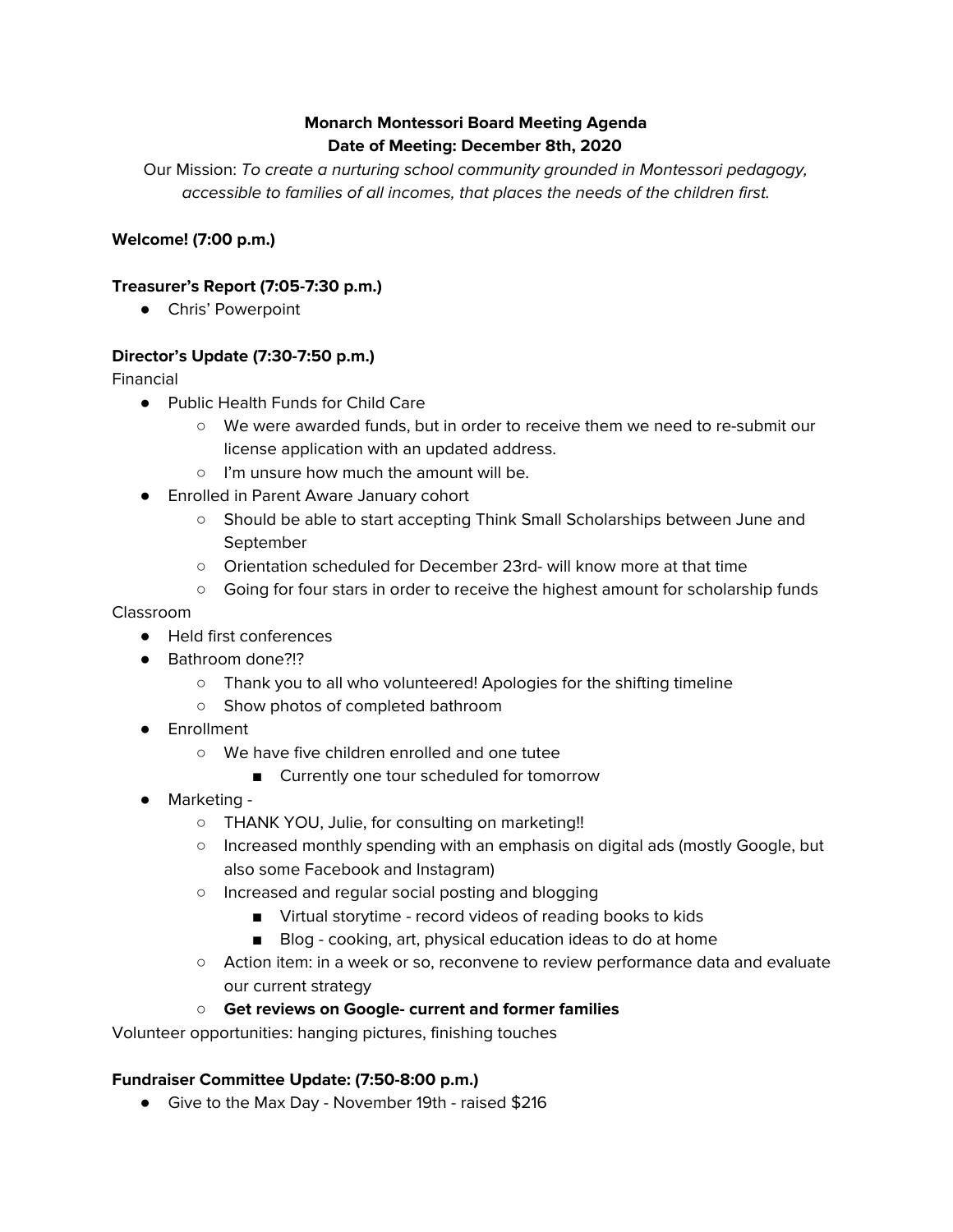## **Monarch Montessori Board Meeting Agenda Date of Meeting: December 8th, 2020**

Our Mission: To create a nurturing school community grounded in Montessori pedagogy, accessible to families of all incomes, that places the needs of the children first.

## **Welcome! (7:00 p.m.)**

## **Treasurer's Report (7:05-7:30 p.m.)**

● Chris' Powerpoint

## **Director's Update (7:30-7:50 p.m.)**

Financial

- Public Health Funds for Child Care
	- We were awarded funds, but in order to receive them we need to re-submit our license application with an updated address.
	- I'm unsure how much the amount will be.
- Enrolled in Parent Aware January cohort
	- Should be able to start accepting Think Small Scholarships between June and September
	- Orientation scheduled for December 23rd- will know more at that time
	- Going for four stars in order to receive the highest amount for scholarship funds

Classroom

- Held first conferences
- Bathroom done?!?
	- Thank you to all who volunteered! Apologies for the shifting timeline
	- Show photos of completed bathroom
- Enrollment
	- We have five children enrolled and one tutee
		- Currently one tour scheduled for tomorrow
- Marketing
	- THANK YOU, Julie, for consulting on marketing!!
	- Increased monthly spending with an emphasis on digital ads (mostly Google, but also some Facebook and Instagram)
	- Increased and regular social posting and blogging
		- Virtual storytime record videos of reading books to kids
		- Blog cooking, art, physical education ideas to do at home
	- Action item: in a week or so, reconvene to review performance data and evaluate our current strategy

#### **○ Get reviews on Google- current and former families**

Volunteer opportunities: hanging pictures, finishing touches

#### **Fundraiser Committee Update: (7:50-8:00 p.m.)**

● Give to the Max Day - November 19th - raised \$216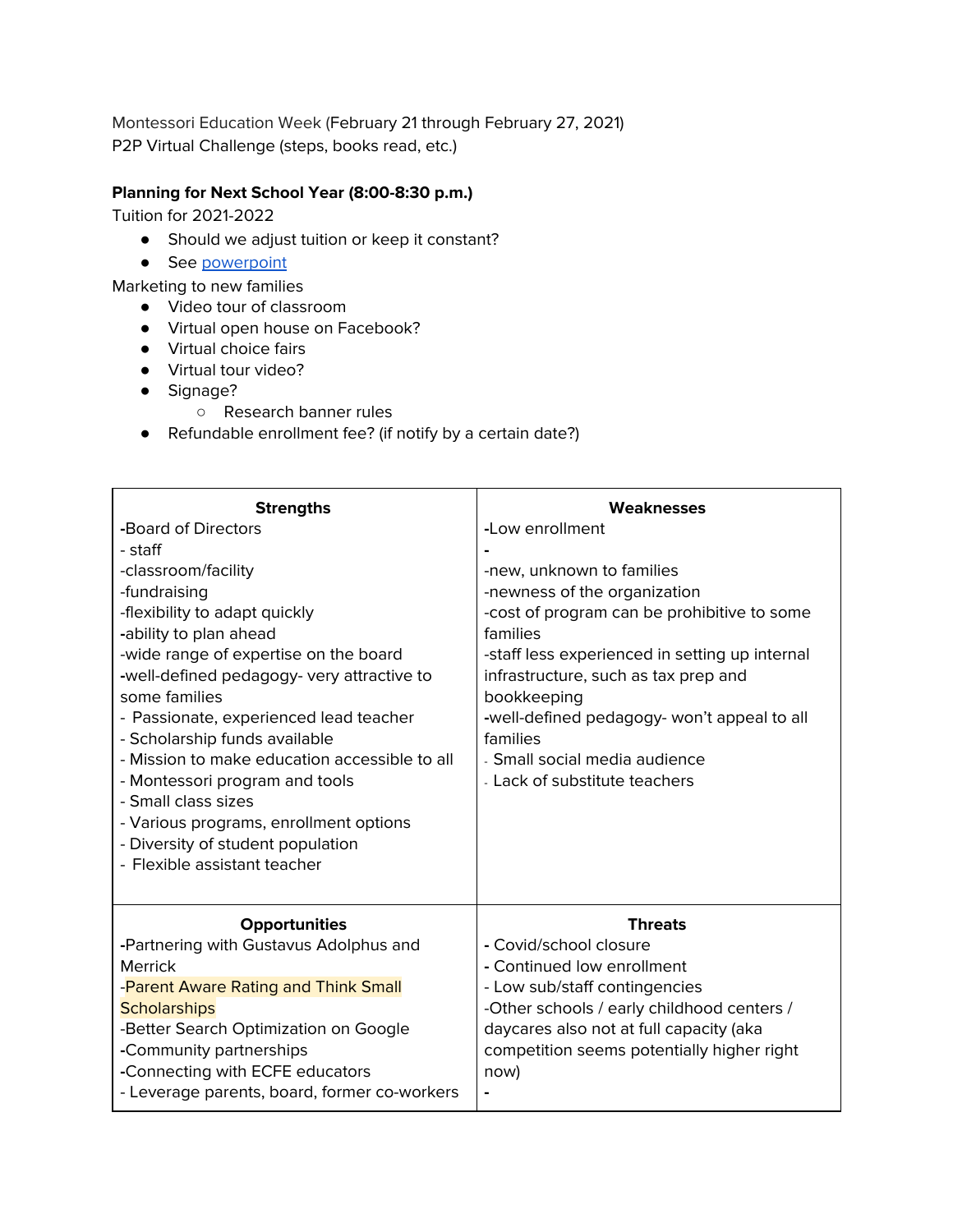Montessori Education Week (February 21 through February 27, 2021) P2P Virtual Challenge (steps, books read, etc.)

# **Planning for Next School Year (8:00-8:30 p.m.)**

Tuition for 2021-2022

- Should we adjust tuition or keep it constant?
- See [powerpoint](https://docs.google.com/presentation/d/1U68rlu5Zz7DL2Ej3gkVFvKtqV4WrjZwuRGxjMODMOl4/edit?usp=sharing)

Marketing to new families

- Video tour of classroom
- Virtual open house on Facebook?
- Virtual choice fairs
- Virtual tour video?
- Signage?
	- Research banner rules
- Refundable enrollment fee? (if notify by a certain date?)

| <b>Strengths</b>                                      | <b>Weaknesses</b>                              |
|-------------------------------------------------------|------------------------------------------------|
| -Board of Directors                                   | -Low enrollment                                |
| - staff                                               |                                                |
| -classroom/facility                                   | -new, unknown to families                      |
| -fundraising                                          | -newness of the organization                   |
| -flexibility to adapt quickly                         | -cost of program can be prohibitive to some    |
| -ability to plan ahead                                | families                                       |
| -wide range of expertise on the board                 | -staff less experienced in setting up internal |
| -well-defined pedagogy- very attractive to            | infrastructure, such as tax prep and           |
| some families                                         | bookkeeping                                    |
| - Passionate, experienced lead teacher                | -well-defined pedagogy- won't appeal to all    |
| - Scholarship funds available                         | families                                       |
| - Mission to make education accessible to all         | - Small social media audience                  |
| - Montessori program and tools<br>- Small class sizes | - Lack of substitute teachers                  |
| - Various programs, enrollment options                |                                                |
| - Diversity of student population                     |                                                |
| - Flexible assistant teacher                          |                                                |
|                                                       |                                                |
| <b>Opportunities</b>                                  | <b>Threats</b>                                 |
| -Partnering with Gustavus Adolphus and                | - Covid/school closure                         |
| Merrick                                               | - Continued low enrollment                     |
| -Parent Aware Rating and Think Small                  | - Low sub/staff contingencies                  |
| <b>Scholarships</b>                                   | -Other schools / early childhood centers /     |
| -Better Search Optimization on Google                 | daycares also not at full capacity (aka        |
| -Community partnerships                               | competition seems potentially higher right     |
| -Connecting with ECFE educators                       | now)                                           |
| - Leverage parents, board, former co-workers          |                                                |